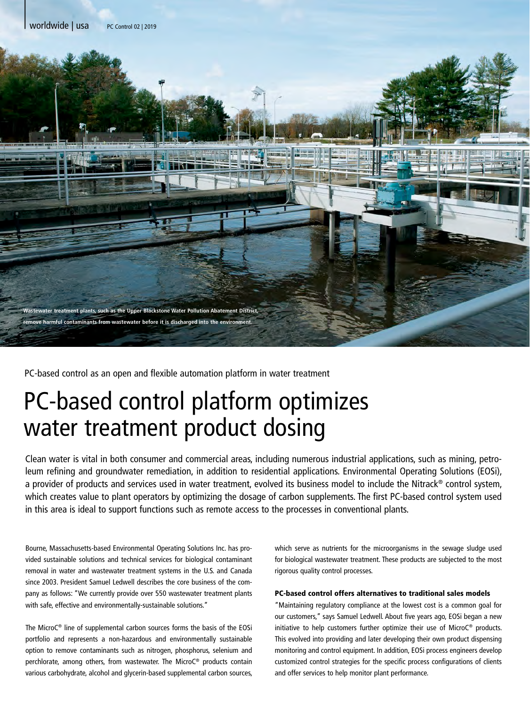

PC-based control as an open and flexible automation platform in water treatment

## PC-based control platform optimizes water treatment product dosing

Clean water is vital in both consumer and commercial areas, including numerous industrial applications, such as mining, petroleum refining and groundwater remediation, in addition to residential applications. Environmental Operating Solutions (EOSi), a provider of products and services used in water treatment, evolved its business model to include the Nitrack® control system, which creates value to plant operators by optimizing the dosage of carbon supplements. The first PC-based control system used in this area is ideal to support functions such as remote access to the processes in conventional plants.

Bourne, Massachusetts-based Environmental Operating Solutions Inc. has provided sustainable solutions and technical services for biological contaminant removal in water and wastewater treatment systems in the U.S. and Canada since 2003. President Samuel Ledwell describes the core business of the company as follows: "We currently provide over 550 wastewater treatment plants with safe, effective and environmentally-sustainable solutions."

The MicroC® line of supplemental carbon sources forms the basis of the EOSi portfolio and represents a non-hazardous and environmentally sustainable option to remove contaminants such as nitrogen, phosphorus, selenium and perchlorate, among others, from wastewater. The MicroC® products contain various carbohydrate, alcohol and glycerin-based supplemental carbon sources, which serve as nutrients for the microorganisms in the sewage sludge used for biological wastewater treatment. These products are subjected to the most rigorous quality control processes.

## PC-based control offers alternatives to traditional sales models

"Maintaining regulatory compliance at the lowest cost is a common goal for our customers," says Samuel Ledwell. About five years ago, EOSi began a new initiative to help customers further optimize their use of MicroC® products. This evolved into providing and later developing their own product dispensing monitoring and control equipment. In addition, EOSi process engineers develop customized control strategies for the specific process configurations of clients and offer services to help monitor plant performance.